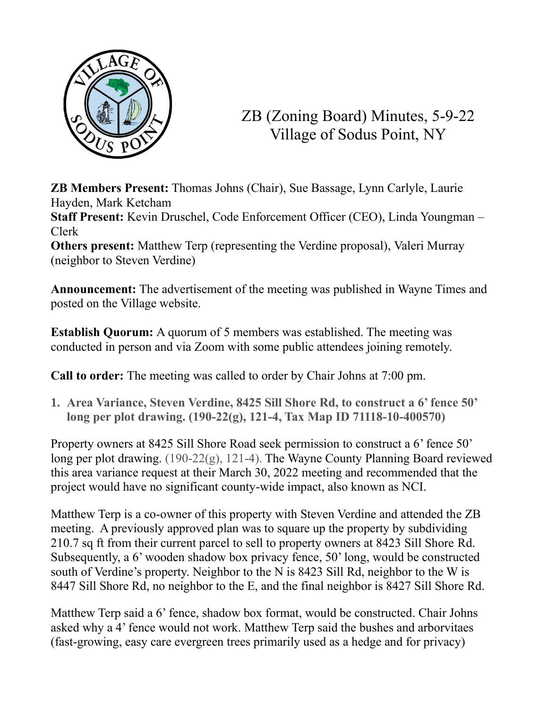

ZB (Zoning Board) Minutes, 5-9-22 Village of Sodus Point, NY

**ZB Members Present:** Thomas Johns (Chair), Sue Bassage, Lynn Carlyle, Laurie Hayden, Mark Ketcham

**Staff Present:** Kevin Druschel, Code Enforcement Officer (CEO), Linda Youngman – Clerk

**Others present:** Matthew Terp (representing the Verdine proposal), Valeri Murray (neighbor to Steven Verdine)

**Announcement:** The advertisement of the meeting was published in Wayne Times and posted on the Village website.

**Establish Quorum:** A quorum of 5 members was established. The meeting was conducted in person and via Zoom with some public attendees joining remotely.

**Call to order:** The meeting was called to order by Chair Johns at 7:00 pm.

**1. Area Variance, Steven Verdine, 8425 Sill Shore Rd, to construct a 6' fence 50' long per plot drawing. (190-22(g), 121-4, Tax Map ID 71118-10-400570)**

Property owners at 8425 Sill Shore Road seek permission to construct a 6' fence 50' long per plot drawing. (190-22(g), 121-4). The Wayne County Planning Board reviewed this area variance request at their March 30, 2022 meeting and recommended that the project would have no significant county-wide impact, also known as NCI.

Matthew Terp is a co-owner of this property with Steven Verdine and attended the ZB meeting. A previously approved plan was to square up the property by subdividing 210.7 sq ft from their current parcel to sell to property owners at 8423 Sill Shore Rd. Subsequently, a 6' wooden shadow box privacy fence, 50' long, would be constructed south of Verdine's property. Neighbor to the N is 8423 Sill Rd, neighbor to the W is 8447 Sill Shore Rd, no neighbor to the E, and the final neighbor is 8427 Sill Shore Rd.

Matthew Terp said a 6' fence, shadow box format, would be constructed. Chair Johns asked why a 4' fence would not work. Matthew Terp said the bushes and arborvitaes (fast-growing, easy care evergreen trees primarily used as a hedge and for privacy)